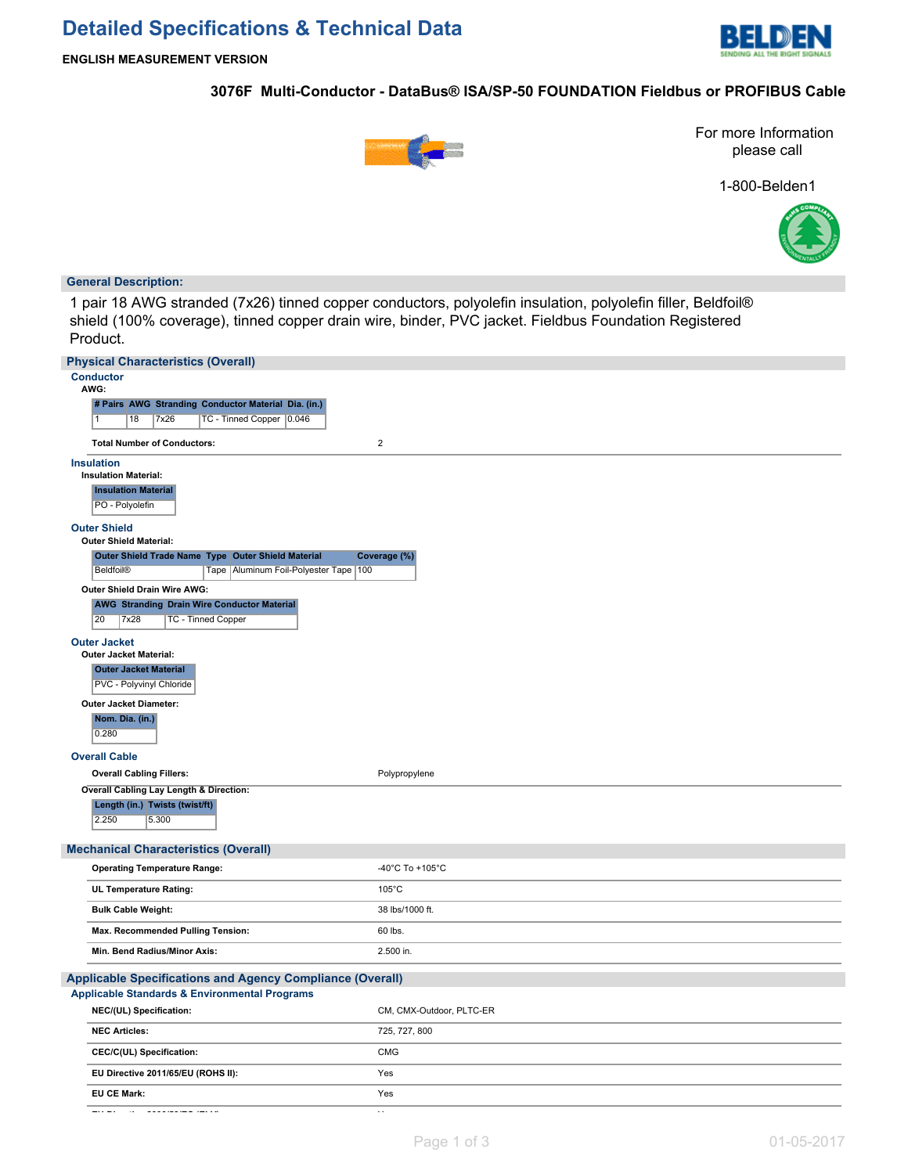# **Detailed Specifications & Technical Data**



## **3076F Multi-Conductor - DataBus® ISA/SP-50 FOUNDATION Fieldbus or PROFIBUS Cable**



For more Information please call

1-800-Belden1



### **General Description:**

1 pair 18 AWG stranded (7x26) tinned copper conductors, polyolefin insulation, polyolefin filler, Beldfoil® shield (100% coverage), tinned copper drain wire, binder, PVC jacket. Fieldbus Foundation Registered Product.

| <b>Physical Characteristics (Overall)</b>                                                     |                          |
|-----------------------------------------------------------------------------------------------|--------------------------|
| <b>Conductor</b><br>AWG:                                                                      |                          |
| # Pairs AWG Stranding Conductor Material Dia. (in.)                                           |                          |
| TC - Tinned Copper   0.046<br>7x26<br>18<br>  1                                               |                          |
| <b>Total Number of Conductors:</b>                                                            | $\overline{2}$           |
| <b>Insulation</b><br><b>Insulation Material:</b>                                              |                          |
| <b>Insulation Material</b><br>PO - Polyolefin                                                 |                          |
| <b>Outer Shield</b><br><b>Outer Shield Material:</b>                                          |                          |
| Outer Shield Trade Name Type Outer Shield Material                                            | Coverage (%)             |
| Beldfoil®<br>Tape   Aluminum Foil-Polyester Tape   100                                        |                          |
| Outer Shield Drain Wire AWG:                                                                  |                          |
| <b>AWG Stranding Drain Wire Conductor Material</b><br>7x28<br>20<br><b>TC - Tinned Copper</b> |                          |
| <b>Outer Jacket</b><br><b>Outer Jacket Material:</b>                                          |                          |
| <b>Outer Jacket Material</b><br>PVC - Polyvinyl Chloride                                      |                          |
| Outer Jacket Diameter:                                                                        |                          |
| Nom. Dia. (in.)<br>0.280                                                                      |                          |
| <b>Overall Cable</b>                                                                          |                          |
| <b>Overall Cabling Fillers:</b>                                                               | Polypropylene            |
| Overall Cabling Lay Length & Direction:                                                       |                          |
| Length (in.) Twists (twist/ft)<br>2.250<br>5.300                                              |                          |
| <b>Mechanical Characteristics (Overall)</b>                                                   |                          |
| <b>Operating Temperature Range:</b>                                                           | -40°C To +105°C          |
| UL Temperature Rating:                                                                        | $105^{\circ}$ C          |
| <b>Bulk Cable Weight:</b>                                                                     | 38 lbs/1000 ft.          |
| Max. Recommended Pulling Tension:                                                             | 60 lbs.                  |
| Min. Bend Radius/Minor Axis:                                                                  | 2.500 in.                |
| <b>Applicable Specifications and Agency Compliance (Overall)</b>                              |                          |
| <b>Applicable Standards &amp; Environmental Programs</b>                                      |                          |
| NEC/(UL) Specification:                                                                       | CM, CMX-Outdoor, PLTC-ER |
| <b>NEC Articles:</b>                                                                          | 725, 727, 800            |
| CEC/C(UL) Specification:                                                                      | <b>CMG</b>               |
| EU Directive 2011/65/EU (ROHS II):                                                            | Yes                      |
| EU CE Mark:                                                                                   | Yes                      |
| a a a a sheachtar an suidhean<br>$-1 - 1$                                                     |                          |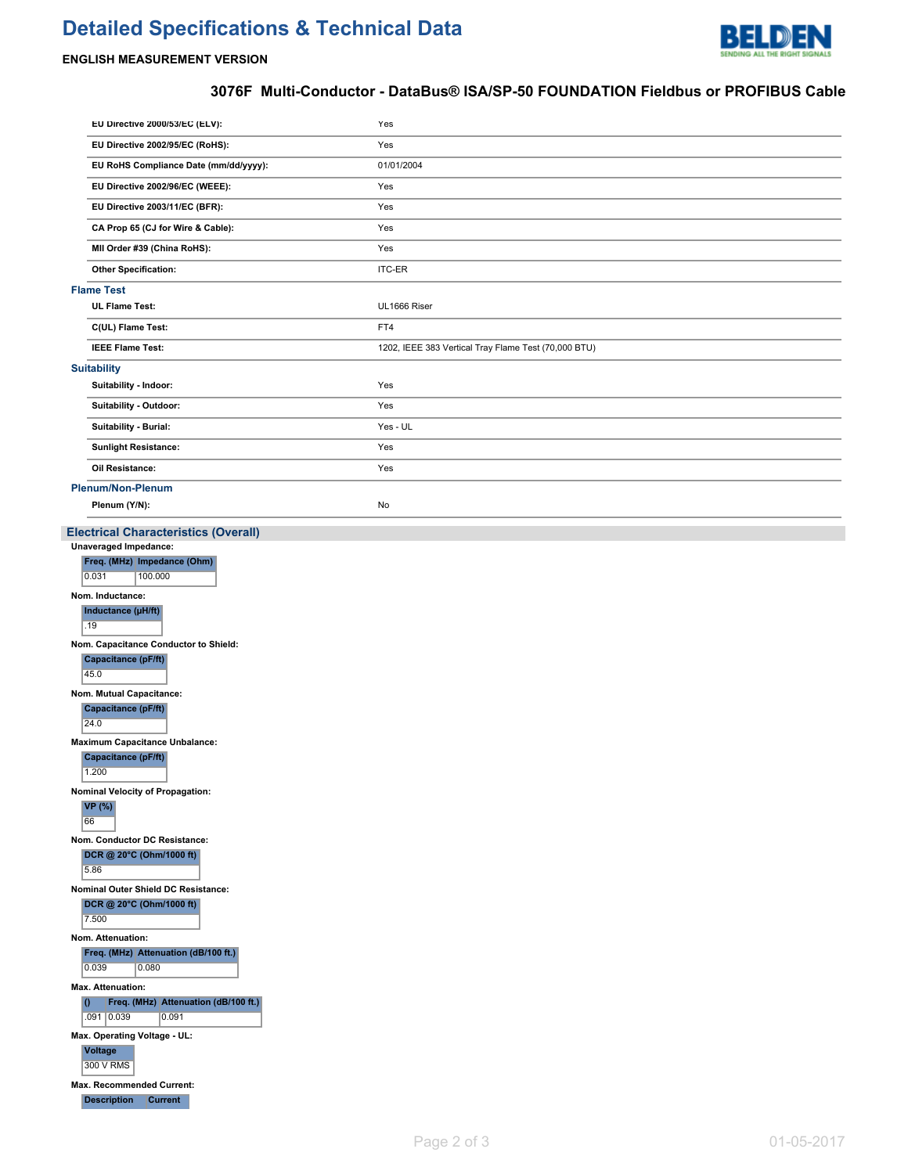# **Detailed Specifications & Technical Data**



## **ENGLISH MEASUREMENT VERSION**

# **3076F Multi-Conductor - DataBus® ISA/SP-50 FOUNDATION Fieldbus or PROFIBUS Cable**

| Yes<br>EU Directive 2002/95/EC (RoHS):<br>EU RoHS Compliance Date (mm/dd/yyyy):<br>01/01/2004                                                                                                                                                                                                                                                                                                                                                                                                                                                                                                                                                                                                                                                                                                                         |                                                      |  |  |  |
|-----------------------------------------------------------------------------------------------------------------------------------------------------------------------------------------------------------------------------------------------------------------------------------------------------------------------------------------------------------------------------------------------------------------------------------------------------------------------------------------------------------------------------------------------------------------------------------------------------------------------------------------------------------------------------------------------------------------------------------------------------------------------------------------------------------------------|------------------------------------------------------|--|--|--|
|                                                                                                                                                                                                                                                                                                                                                                                                                                                                                                                                                                                                                                                                                                                                                                                                                       |                                                      |  |  |  |
|                                                                                                                                                                                                                                                                                                                                                                                                                                                                                                                                                                                                                                                                                                                                                                                                                       |                                                      |  |  |  |
| EU Directive 2002/96/EC (WEEE):<br>Yes                                                                                                                                                                                                                                                                                                                                                                                                                                                                                                                                                                                                                                                                                                                                                                                |                                                      |  |  |  |
| Yes<br>EU Directive 2003/11/EC (BFR):                                                                                                                                                                                                                                                                                                                                                                                                                                                                                                                                                                                                                                                                                                                                                                                 |                                                      |  |  |  |
| CA Prop 65 (CJ for Wire & Cable):<br>Yes                                                                                                                                                                                                                                                                                                                                                                                                                                                                                                                                                                                                                                                                                                                                                                              |                                                      |  |  |  |
| MII Order #39 (China RoHS):<br>Yes                                                                                                                                                                                                                                                                                                                                                                                                                                                                                                                                                                                                                                                                                                                                                                                    |                                                      |  |  |  |
| <b>Other Specification:</b><br><b>ITC-ER</b>                                                                                                                                                                                                                                                                                                                                                                                                                                                                                                                                                                                                                                                                                                                                                                          |                                                      |  |  |  |
| <b>Flame Test</b>                                                                                                                                                                                                                                                                                                                                                                                                                                                                                                                                                                                                                                                                                                                                                                                                     |                                                      |  |  |  |
| <b>UL Flame Test:</b><br>UL1666 Riser                                                                                                                                                                                                                                                                                                                                                                                                                                                                                                                                                                                                                                                                                                                                                                                 |                                                      |  |  |  |
| C(UL) Flame Test:<br>FT4                                                                                                                                                                                                                                                                                                                                                                                                                                                                                                                                                                                                                                                                                                                                                                                              |                                                      |  |  |  |
| <b>IEEE Flame Test:</b>                                                                                                                                                                                                                                                                                                                                                                                                                                                                                                                                                                                                                                                                                                                                                                                               | 1202, IEEE 383 Vertical Tray Flame Test (70,000 BTU) |  |  |  |
| <b>Suitability</b>                                                                                                                                                                                                                                                                                                                                                                                                                                                                                                                                                                                                                                                                                                                                                                                                    |                                                      |  |  |  |
| Suitability - Indoor:<br>Yes                                                                                                                                                                                                                                                                                                                                                                                                                                                                                                                                                                                                                                                                                                                                                                                          |                                                      |  |  |  |
| Suitability - Outdoor:<br>Yes                                                                                                                                                                                                                                                                                                                                                                                                                                                                                                                                                                                                                                                                                                                                                                                         |                                                      |  |  |  |
| Suitability - Burial:<br>Yes - UL                                                                                                                                                                                                                                                                                                                                                                                                                                                                                                                                                                                                                                                                                                                                                                                     |                                                      |  |  |  |
| <b>Sunlight Resistance:</b><br>Yes                                                                                                                                                                                                                                                                                                                                                                                                                                                                                                                                                                                                                                                                                                                                                                                    |                                                      |  |  |  |
| Oil Resistance:<br>Yes                                                                                                                                                                                                                                                                                                                                                                                                                                                                                                                                                                                                                                                                                                                                                                                                |                                                      |  |  |  |
| Plenum/Non-Plenum                                                                                                                                                                                                                                                                                                                                                                                                                                                                                                                                                                                                                                                                                                                                                                                                     |                                                      |  |  |  |
| Plenum (Y/N):<br>No                                                                                                                                                                                                                                                                                                                                                                                                                                                                                                                                                                                                                                                                                                                                                                                                   |                                                      |  |  |  |
| <b>Unaveraged Impedance:</b><br>Freq. (MHz) Impedance (Ohm)<br>0.031<br>100.000<br>Nom. Inductance:<br>Inductance (µH/ft)<br>.19<br>Nom. Capacitance Conductor to Shield:<br>Capacitance (pF/ft)<br>45.0<br>Nom. Mutual Capacitance:<br>Capacitance (pF/ft)<br>24.0<br><b>Maximum Capacitance Unbalance:</b><br>Capacitance (pF/ft)<br>1.200<br>Nominal Velocity of Propagation:<br>VP(%)<br>66<br>Nom. Conductor DC Resistance:<br>DCR @ 20°C (Ohm/1000 ft)<br>5.86<br>Nominal Outer Shield DC Resistance:<br>DCR @ 20°C (Ohm/1000 ft)<br>7.500<br>Nom. Attenuation:<br>Freq. (MHz) Attenuation (dB/100 ft.)<br>0.039<br>0.080<br>Max. Attenuation:<br>Freq. (MHz) Attenuation (dB/100 ft.)<br>10<br>.091 0.039<br>0.091<br>Max. Operating Voltage - UL:<br><b>Voltage</b><br>300 V RMS<br>Max. Recommended Current: |                                                      |  |  |  |